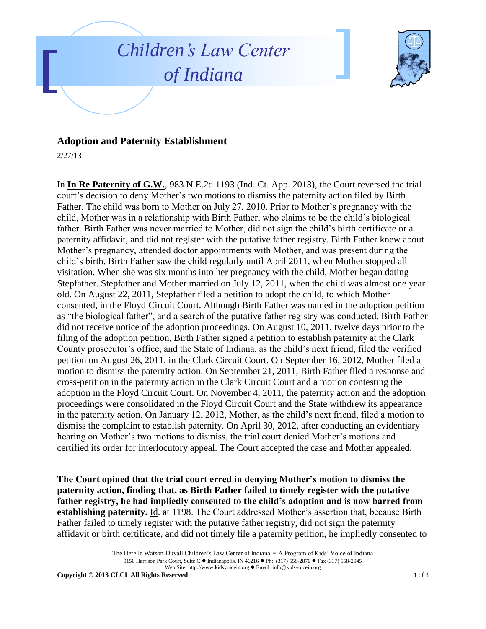



## **Adoption and Paternity Establishment**

2/27/13

In **In Re Paternity of G.W.**, 983 N.E.2d 1193 (Ind. Ct. App. 2013), the Court reversed the trial court's decision to deny Mother's two motions to dismiss the paternity action filed by Birth Father. The child was born to Mother on July 27, 2010. Prior to Mother's pregnancy with the child, Mother was in a relationship with Birth Father, who claims to be the child's biological father. Birth Father was never married to Mother, did not sign the child's birth certificate or a paternity affidavit, and did not register with the putative father registry. Birth Father knew about Mother's pregnancy, attended doctor appointments with Mother, and was present during the child's birth. Birth Father saw the child regularly until April 2011, when Mother stopped all visitation. When she was six months into her pregnancy with the child, Mother began dating Stepfather. Stepfather and Mother married on July 12, 2011, when the child was almost one year old. On August 22, 2011, Stepfather filed a petition to adopt the child, to which Mother consented, in the Floyd Circuit Court. Although Birth Father was named in the adoption petition as "the biological father", and a search of the putative father registry was conducted, Birth Father did not receive notice of the adoption proceedings. On August 10, 2011, twelve days prior to the filing of the adoption petition, Birth Father signed a petition to establish paternity at the Clark County prosecutor's office, and the State of Indiana, as the child's next friend, filed the verified petition on August 26, 2011, in the Clark Circuit Court. On September 16, 2012, Mother filed a motion to dismiss the paternity action. On September 21, 2011, Birth Father filed a response and cross-petition in the paternity action in the Clark Circuit Court and a motion contesting the adoption in the Floyd Circuit Court. On November 4, 2011, the paternity action and the adoption proceedings were consolidated in the Floyd Circuit Court and the State withdrew its appearance in the paternity action. On January 12, 2012, Mother, as the child's next friend, filed a motion to dismiss the complaint to establish paternity. On April 30, 2012, after conducting an evidentiary hearing on Mother's two motions to dismiss, the trial court denied Mother's motions and certified its order for interlocutory appeal. The Court accepted the case and Mother appealed.

**The Court opined that the trial court erred in denying Mother's motion to dismiss the paternity action, finding that, as Birth Father failed to timely register with the putative father registry, he had impliedly consented to the child's adoption and is now barred from establishing paternity.** Id. at 1198. The Court addressed Mother's assertion that, because Birth Father failed to timely register with the putative father registry, did not sign the paternity affidavit or birth certificate, and did not timely file a paternity petition, he impliedly consented to

The Derelle Watson-Duvall Children's Law Center of Indiana - A Program of Kids' Voice of Indiana 9150 Harrison Park Court, Suite C · Indianapolis, IN 46216 · Ph: (317) 558-2870 · Fax (317) 558-2945 Web Site: http://www.kidsvoicein.org · Email: info@kidsvoicein.org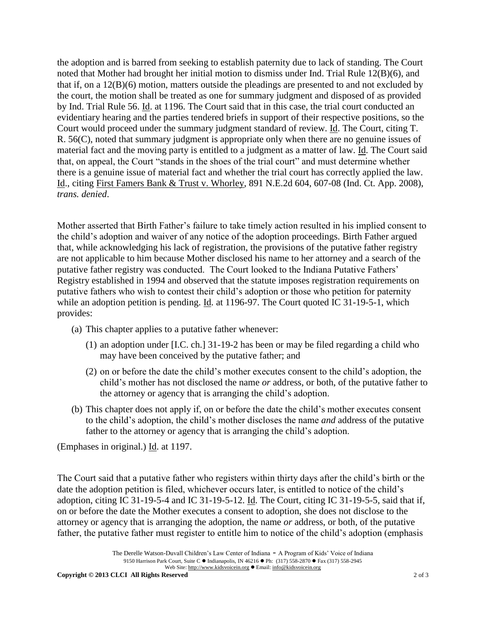the adoption and is barred from seeking to establish paternity due to lack of standing. The Court noted that Mother had brought her initial motion to dismiss under Ind. Trial Rule 12(B)(6), and that if, on a 12(B)(6) motion, matters outside the pleadings are presented to and not excluded by the court, the motion shall be treated as one for summary judgment and disposed of as provided by Ind. Trial Rule 56. Id. at 1196. The Court said that in this case, the trial court conducted an evidentiary hearing and the parties tendered briefs in support of their respective positions, so the Court would proceed under the summary judgment standard of review. Id. The Court, citing T. R. 56(C), noted that summary judgment is appropriate only when there are no genuine issues of material fact and the moving party is entitled to a judgment as a matter of law. Id. The Court said that, on appeal, the Court "stands in the shoes of the trial court" and must determine whether there is a genuine issue of material fact and whether the trial court has correctly applied the law. Id., citing First Famers Bank & Trust v. Whorley, 891 N.E.2d 604, 607-08 (Ind. Ct. App. 2008), *trans. denied*.

Mother asserted that Birth Father's failure to take timely action resulted in his implied consent to the child's adoption and waiver of any notice of the adoption proceedings. Birth Father argued that, while acknowledging his lack of registration, the provisions of the putative father registry are not applicable to him because Mother disclosed his name to her attorney and a search of the putative father registry was conducted. The Court looked to the Indiana Putative Fathers' Registry established in 1994 and observed that the statute imposes registration requirements on putative fathers who wish to contest their child's adoption or those who petition for paternity while an adoption petition is pending. <u>Id</u>. at 1196-97. The Court quoted IC 31-19-5-1, which provides:

- (a) This chapter applies to a putative father whenever:
	- (1) an adoption under [I.C. ch.] 31-19-2 has been or may be filed regarding a child who may have been conceived by the putative father; and
	- (2) on or before the date the child's mother executes consent to the child's adoption, the child's mother has not disclosed the name *or* address, or both, of the putative father to the attorney or agency that is arranging the child's adoption.
- (b) This chapter does not apply if, on or before the date the child's mother executes consent to the child's adoption, the child's mother discloses the name *and* address of the putative father to the attorney or agency that is arranging the child's adoption.

(Emphases in original.) Id. at 1197.

The Court said that a putative father who registers within thirty days after the child's birth or the date the adoption petition is filed, whichever occurs later, is entitled to notice of the child's adoption, citing IC 31-19-5-4 and IC 31-19-5-12. Id. The Court, citing IC 31-19-5-5, said that if, on or before the date the Mother executes a consent to adoption, she does not disclose to the attorney or agency that is arranging the adoption, the name *or* address, or both, of the putative father, the putative father must register to entitle him to notice of the child's adoption (emphasis